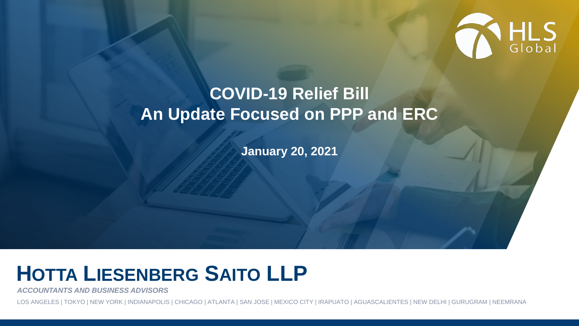

#### **COVID-19 Relief Bill An Update Focused on PPP and ERC**

**January 20, 2021**

# **HOTTA LIESENBERG SAITO LLP**

*ACCOUNTANTS AND BUSINESS ADVISORS*

LOS ANGELES | TOKYO | NEW YORK | INDIANAPOLIS | CHICAGO | ATLANTA | SAN JOSE | MEXICO CITY | IRAPUATO | AGUASCALIENTES | NEW DELHI | GURUGRAM | NEEMRANA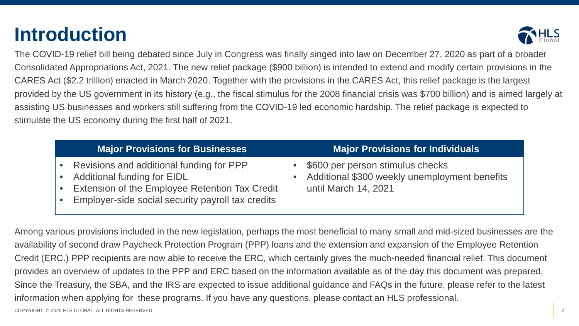### **Introduction**



The COVID-19 relief bill being debated since July in Congress was finally singed into law on December 27, 2020 as part of a broader Consolidated Appropriations Act, 2021. The new relief package (\$900 billion) is intended to extend and modify certain provisions in the CARES Act (\$2.2 trillion) enacted in March 2020. Together with the provisions in the CARES Act, this relief package is the largest provided by the US government in its history (e.g., the fiscal stimulus for the 2008 financial crisis was \$700 billion) and is aimed largely at assisting US businesses and workers still suffering from the COVID-19 led economic hardship. The relief package is expected to stimulate the US economy during the first half of 2021.

| Major Provisions for Businesses                                                                                                                                                       | <b>Major Provisions for Individuals</b>                                                                   |
|---------------------------------------------------------------------------------------------------------------------------------------------------------------------------------------|-----------------------------------------------------------------------------------------------------------|
| Revisions and additional funding for PPP<br><b>Additional funding for EIDL</b><br>Extension of the Employee Retention Tax Credit<br>Employer-side social security payroll tax credits | \$600 per person stimulus checks<br>Additional \$300 weekly unemployment benefits<br>until March 14, 2021 |

COPYRIGHT © 2020 HLS GLOBAL. ALL RIGHTS RESERVED. 2 Among various provisions included in the new legislation, perhaps the most beneficial to many small and mid-sized businesses are the availability of second draw Paycheck Protection Program (PPP) loans and the extension and expansion of the Employee Retention Credit (ERC.) PPP recipients are now able to receive the ERC, which certainly gives the much-needed financial relief. This document provides an overview of updates to the PPP and ERC based on the information available as of the day this document was prepared. Since the Treasury, the SBA, and the IRS are expected to issue additional guidance and FAQs in the future, please refer to the latest information when applying for these programs. If you have any questions, please contact an HLS professional.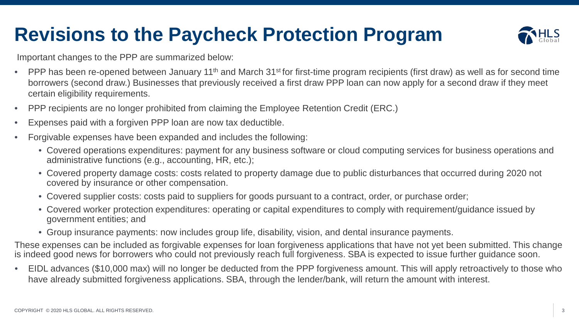## **Revisions to the Paycheck Protection Program**



Important changes to the PPP are summarized below:

- PPP has been re-opened between January 11<sup>th</sup> and March 31<sup>st</sup> for first-time program recipients (first draw) as well as for second time borrowers (second draw.) Businesses that previously received a first draw PPP loan can now apply for a second draw if they meet certain eligibility requirements.
- PPP recipients are no longer prohibited from claiming the Employee Retention Credit (ERC.)
- Expenses paid with a forgiven PPP loan are now tax deductible.
- Forgivable expenses have been expanded and includes the following:
	- Covered operations expenditures: payment for any business software or cloud computing services for business operations and administrative functions (e.g., accounting, HR, etc.);
	- Covered property damage costs: costs related to property damage due to public disturbances that occurred during 2020 not covered by insurance or other compensation.
	- Covered supplier costs: costs paid to suppliers for goods pursuant to a contract, order, or purchase order;
	- Covered worker protection expenditures: operating or capital expenditures to comply with requirement/guidance issued by government entities; and
	- Group insurance payments: now includes group life, disability, vision, and dental insurance payments.

These expenses can be included as forgivable expenses for loan forgiveness applications that have not yet been submitted. This change is indeed good news for borrowers who could not previously reach full forgiveness. SBA is expected to issue further guidance soon.

• EIDL advances (\$10,000 max) will no longer be deducted from the PPP forgiveness amount. This will apply retroactively to those who have already submitted forgiveness applications. SBA, through the lender/bank, will return the amount with interest.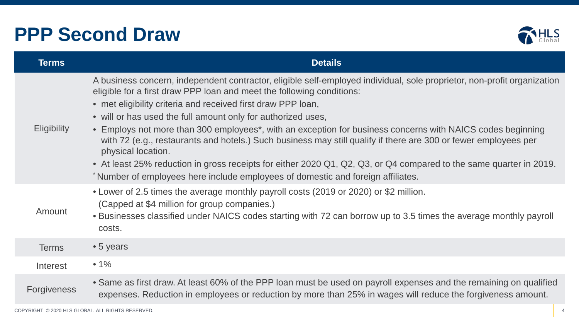#### **PPP Second Draw**



| <b>Terms</b>       | <b>Details</b>                                                                                                                                                                                                                                                                                                                                                                                                                                                                                                                                                                                                                                                                                                                                                                                   |  |
|--------------------|--------------------------------------------------------------------------------------------------------------------------------------------------------------------------------------------------------------------------------------------------------------------------------------------------------------------------------------------------------------------------------------------------------------------------------------------------------------------------------------------------------------------------------------------------------------------------------------------------------------------------------------------------------------------------------------------------------------------------------------------------------------------------------------------------|--|
| <b>Eligibility</b> | A business concern, independent contractor, eligible self-employed individual, sole proprietor, non-profit organization<br>eligible for a first draw PPP loan and meet the following conditions:<br>• met eligibility criteria and received first draw PPP loan,<br>• will or has used the full amount only for authorized uses,<br>• Employs not more than 300 employees*, with an exception for business concerns with NAICS codes beginning<br>with 72 (e.g., restaurants and hotels.) Such business may still qualify if there are 300 or fewer employees per<br>physical location.<br>• At least 25% reduction in gross receipts for either 2020 Q1, Q2, Q3, or Q4 compared to the same quarter in 2019.<br>*Number of employees here include employees of domestic and foreign affiliates. |  |
| Amount             | • Lower of 2.5 times the average monthly payroll costs (2019 or 2020) or \$2 million.<br>(Capped at \$4 million for group companies.)<br>• Businesses classified under NAICS codes starting with 72 can borrow up to 3.5 times the average monthly payroll<br>costs.                                                                                                                                                                                                                                                                                                                                                                                                                                                                                                                             |  |
| <b>Terms</b>       | $\bullet$ 5 years                                                                                                                                                                                                                                                                                                                                                                                                                                                                                                                                                                                                                                                                                                                                                                                |  |
| Interest           | $• 1\%$                                                                                                                                                                                                                                                                                                                                                                                                                                                                                                                                                                                                                                                                                                                                                                                          |  |
| <b>Forgiveness</b> | • Same as first draw. At least 60% of the PPP loan must be used on payroll expenses and the remaining on qualified<br>expenses. Reduction in employees or reduction by more than 25% in wages will reduce the forgiveness amount.                                                                                                                                                                                                                                                                                                                                                                                                                                                                                                                                                                |  |
|                    |                                                                                                                                                                                                                                                                                                                                                                                                                                                                                                                                                                                                                                                                                                                                                                                                  |  |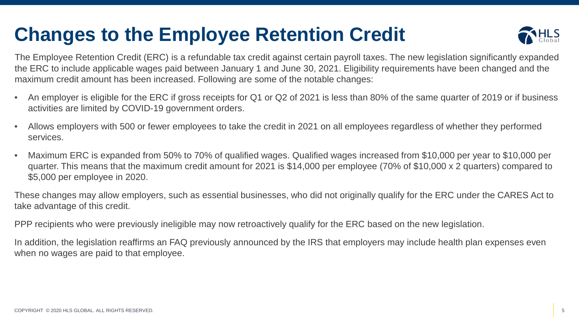## **Changes to the Employee Retention Credit**



The Employee Retention Credit (ERC) is a refundable tax credit against certain payroll taxes. The new legislation significantly expanded the ERC to include applicable wages paid between January 1 and June 30, 2021. Eligibility requirements have been changed and the maximum credit amount has been increased. Following are some of the notable changes:

- An employer is eligible for the ERC if gross receipts for Q1 or Q2 of 2021 is less than 80% of the same quarter of 2019 or if business activities are limited by COVID-19 government orders.
- Allows employers with 500 or fewer employees to take the credit in 2021 on all employees regardless of whether they performed services.
- Maximum ERC is expanded from 50% to 70% of qualified wages. Qualified wages increased from \$10,000 per year to \$10,000 per quarter. This means that the maximum credit amount for 2021 is \$14,000 per employee (70% of \$10,000 x 2 quarters) compared to \$5,000 per employee in 2020.

These changes may allow employers, such as essential businesses, who did not originally qualify for the ERC under the CARES Act to take advantage of this credit.

PPP recipients who were previously ineligible may now retroactively qualify for the ERC based on the new legislation.

In addition, the legislation reaffirms an FAQ previously announced by the IRS that employers may include health plan expenses even when no wages are paid to that employee.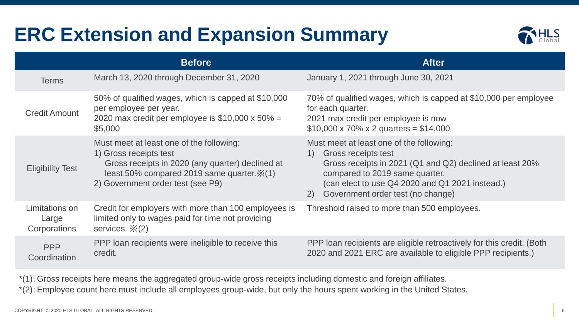## **ERC Extension and Expansion Summary**



|                                         | <b>Before</b>                                                                                                                                                                                                        | <b>After</b>                                                                                                                                                                                                                                                   |
|-----------------------------------------|----------------------------------------------------------------------------------------------------------------------------------------------------------------------------------------------------------------------|----------------------------------------------------------------------------------------------------------------------------------------------------------------------------------------------------------------------------------------------------------------|
| <b>Terms</b>                            | March 13, 2020 through December 31, 2020                                                                                                                                                                             | January 1, 2021 through June 30, 2021                                                                                                                                                                                                                          |
| <b>Credit Amount</b>                    | 50% of qualified wages, which is capped at \$10,000<br>per employee per year.<br>2020 max credit per employee is $$10,000 \times 50\% =$<br>\$5,000                                                                  | 70% of qualified wages, which is capped at \$10,000 per employee<br>for each quarter.<br>2021 max credit per employee is now<br>$$10,000 \times 70\% \times 2 \text{ quarters} = $14,000$                                                                      |
| <b>Eligibility Test</b>                 | Must meet at least one of the following:<br>1) Gross receipts test<br>Gross receipts in 2020 (any quarter) declined at<br>least 50% compared 2019 same quarter. $\mathbb{X}(1)$<br>2) Government order test (see P9) | Must meet at least one of the following:<br>Gross receipts test<br>1)<br>Gross receipts in 2021 (Q1 and Q2) declined at least 20%<br>compared to 2019 same quarter.<br>(can elect to use Q4 2020 and Q1 2021 instead.)<br>2) Government order test (no change) |
| Limitations on<br>Large<br>Corporations | Credit for employers with more than 100 employees is<br>limited only to wages paid for time not providing<br>services. $\mathbb{X}(2)$                                                                               | Threshold raised to more than 500 employees.                                                                                                                                                                                                                   |
| <b>PPP</b><br>Coordination              | PPP loan recipients were ineligible to receive this<br>credit.                                                                                                                                                       | PPP loan recipients are eligible retroactively for this credit. (Both<br>2020 and 2021 ERC are available to eligible PPP recipients.)                                                                                                                          |

\*(1):Gross receipts here means the aggregated group-wide gross receipts including domestic and foreign affiliates.

\*(2):Employee count here must include all employees group-wide, but only the hours spent working in the United States.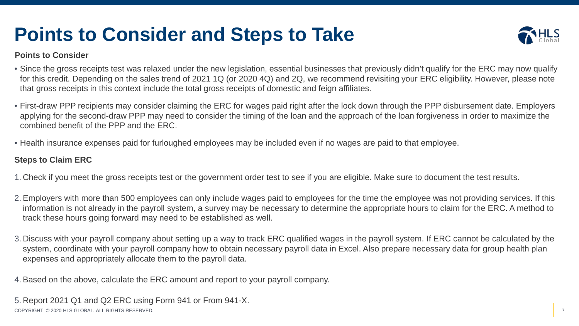## **Points to Consider and Steps to Take**



#### **Points to Consider**

- Since the gross receipts test was relaxed under the new legislation, essential businesses that previously didn't qualify for the ERC may now qualify for this credit. Depending on the sales trend of 2021 1Q (or 2020 4Q) and 2Q, we recommend revisiting your ERC eligibility. However, please note that gross receipts in this context include the total gross receipts of domestic and feign affiliates.
- First-draw PPP recipients may consider claiming the ERC for wages paid right after the lock down through the PPP disbursement date. Employers applying for the second-draw PPP may need to consider the timing of the loan and the approach of the loan forgiveness in order to maximize the combined benefit of the PPP and the ERC.
- Health insurance expenses paid for furloughed employees may be included even if no wages are paid to that employee.

#### **Steps to Claim ERC**

- 1. Check if you meet the gross receipts test or the government order test to see if you are eligible. Make sure to document the test results.
- 2.Employers with more than 500 employees can only include wages paid to employees for the time the employee was not providing services. If this information is not already in the payroll system, a survey may be necessary to determine the appropriate hours to claim for the ERC. A method to track these hours going forward may need to be established as well.
- 3. Discuss with your payroll company about setting up a way to track ERC qualified wages in the payroll system. If ERC cannot be calculated by the system, coordinate with your payroll company how to obtain necessary payroll data in Excel. Also prepare necessary data for group health plan expenses and appropriately allocate them to the payroll data.
- 4.Based on the above, calculate the ERC amount and report to your payroll company.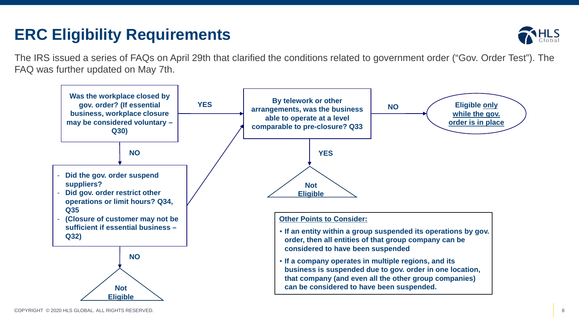#### **ERC Eligibility Requirements**



The IRS issued a series of FAQs on April 29th that clarified the conditions related to government order ("Gov. Order Test"). The FAQ was further updated on May 7th.